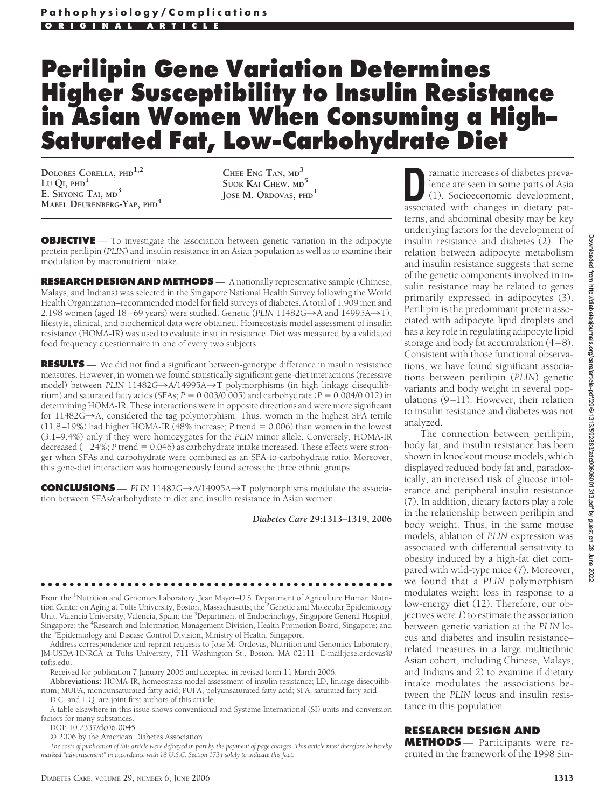# **Perilipin Gene Variation Determines Higher Susceptibility to Insulin Resistance in Asian Women When Consuming a High– Saturated Fat, Low-Carbohydrate Diet**

**DOLORES CORELLA, PHD1,2**  $L$ <sup>U</sup>  $Q$ <sup> $I$ </sup>,  $PHD$ <sup> $1$ </sup> **E. SHYONG TAI, MD<sup>3</sup> MABEL DEURENBERG-YAP, PHD<sup>4</sup>**

**CHEE ENG TAN, MD<sup>3</sup> SUOK KAI CHEW, MD<sup>5</sup> JOSE M. ORDOVAS, PHD<sup>1</sup>**

**OBJECTIVE** — To investigate the association between genetic variation in the adipocyte protein perilipin (*PLIN*) and insulin resistance in an Asian population as well as to examine their modulation by macronutrient intake.

**RESEARCH DESIGN AND METHODS** — A nationally representative sample (Chinese, Malays, and Indians) was selected in the Singapore National Health Survey following the World Health Organization–recommended model for field surveys of diabetes. A total of 1,909 men and 2,198 women (aged 18–69 years) were studied. Genetic (PLIN 11482G→A and 14995A→T), lifestyle, clinical, and biochemical data were obtained. Homeostasis model assessment of insulin resistance (HOMA-IR) was used to evaluate insulin resistance. Diet was measured by a validated food frequency questionnaire in one of every two subjects.

**RESULTS** — We did not find a significant between-genotype difference in insulin resistance measures. However, in women we found statistically significant gene-diet interactions (recessive model) between *PLIN* 11482G→A/14995A→T polymorphisms (in high linkage disequilibrium) and saturated fatty acids (SFAs;  $P = 0.003/0.005$ ) and carbohydrate ( $P = 0.004/0.012$ ) in determining HOMA-IR. These interactions were in opposite directions and were more significant for  $11482G\rightarrow A$ , considered the tag polymorphism. Thus, women in the highest SFA tertile  $(11.8–19%)$  had higher HOMA-IR (48% increase; *P* trend = 0.006) than women in the lowest (3.1–9.4%) only if they were homozygotes for the *PLIN* minor allele. Conversely, HOMA-IR decreased ( $-24\%$ ; *P* trend = 0.046) as carbohydrate intake increased. These effects were stronger when SFAs and carbohydrate were combined as an SFA-to-carbohydrate ratio. Moreover, this gene-diet interaction was homogeneously found across the three ethnic groups.

**CONCLUSIONS** — *PLIN* 11482G $\rightarrow$ A/14995A $\rightarrow$ T polymorphisms modulate the association between SFAs/carbohydrate in diet and insulin resistance in Asian women.

*Diabetes Care* **29:1313–1319, 2006**

●●●●●●●●●●●●●●●●●●●●●●●●●●●●●●●●●●●●●●●●●●●●●●●●● From the <sup>1</sup>Nutrition and Genomics Laboratory, Jean Mayer–U.S. Department of Agriculture Human Nutrition Center on Aging at Tufts University, Boston, Massachusetts; the <sup>2</sup> Genetic and Molecular Epidemiology Unit, Valencia University, Valencia, Spain; the <sup>3</sup>Department of Endocrinology, Singapore General Hospital, Singapore; the <sup>4</sup>Research and Information Management Division, Health Promotion Board, Singapore; and the <sup>5</sup>Epidemiology and Disease Control Division, Ministry of Health, Singapore.

Address correspondence and reprint requests to Jose M. Ordovas, Nutrition and Genomics Laboratory, JM-USDA-HNRCA at Tufts University, 711 Washington St., Boston, MA 02111. E-mail:jose.ordovas@ tufts.edu.

Received for publication 7 January 2006 and accepted in revised form 11 March 2006.

**Abbreviations:** HOMA-IR, homeostasis model assessment of insulin resistance; LD, linkage disequilibrium; MUFA, monounsaturated fatty acid; PUFA, polyunsaturated fatty acid; SFA, saturated fatty acid. D.C. and L.Q. are joint first authors of this article.

A table elsewhere in this issue shows conventional and Système International (SI) units and conversion factors for many substances.

DOI: 10.2337/dc06-0045

© 2006 by the American Diabetes Association.

*The costs of publication of this article were defrayed in part by the payment of page charges. This article must therefore be hereby marked "advertisement" in accordance with 18 U.S.C. Section 1734 solely to indicate this fact.*

**Dramatic increases of diabetes preva-<br>
lence are seen in some parts of Asia<br>
(1). Socioeconomic development,<br>
associated with changes in dietary pat**lence are seen in some parts of Asia associated with changes in dietary patterns, and abdominal obesity may be key underlying factors for the development of insulin resistance and diabetes (2). The relation between adipocyte metabolism and insulin resistance suggests that some of the genetic components involved in insulin resistance may be related to genes primarily expressed in adipocytes (3). Perilipin is the predominant protein associated with adipocyte lipid droplets and has a key role in regulating adipocyte lipid storage and body fat accumulation (4–8). Consistent with those functional observations, we have found significant associations between perilipin (*PLIN*) genetic variants and body weight in several populations (9–11). However, their relation to insulin resistance and diabetes was not analyzed.

The connection between perilipin, body fat, and insulin resistance has been shown in knockout mouse models, which displayed reduced body fat and, paradoxically, an increased risk of glucose intolerance and peripheral insulin resistance (7). In addition, dietary factors play a role in the relationship between perilipin and body weight. Thus, in the same mouse models, ablation of *PLIN* expression was associated with differential sensitivity to obesity induced by a high-fat diet compared with wild-type mice (7). Moreover, we found that a *PLIN* polymorphism modulates weight loss in response to a low-energy diet (12). Therefore, our objectives were *1*) to estimate the association between genetic variation at the *PLIN* locus and diabetes and insulin resistance– related measures in a large multiethnic Asian cohort, including Chinese, Malays, and Indians and *2*) to examine if dietary intake modulates the associations between the *PLIN* locus and insulin resistance in this population.

# **RESEARCH DESIGN AND**

**METHODS** — Participants were recruited in the framework of the 1998 Sin-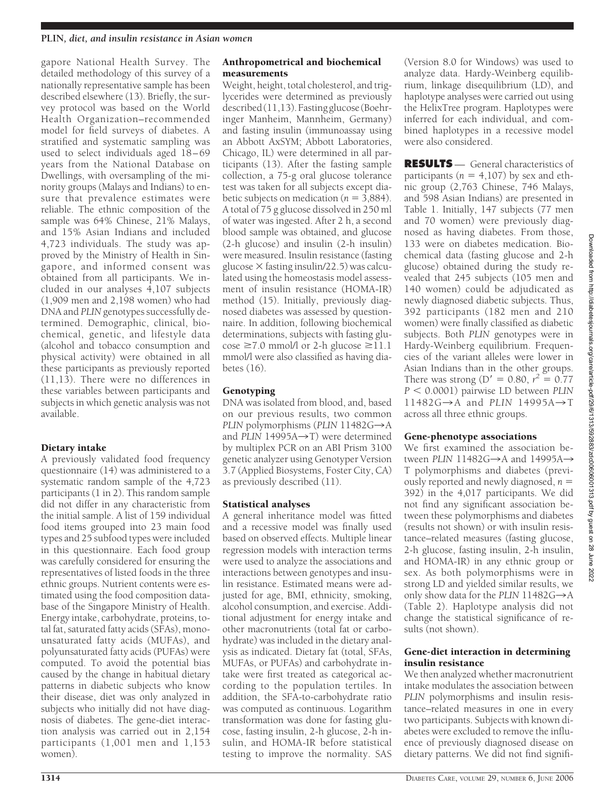#### **PLIN***, diet, and insulin resistance in Asian women*

gapore National Health Survey. The detailed methodology of this survey of a nationally representative sample has been described elsewhere (13). Briefly, the survey protocol was based on the World Health Organization–recommended model for field surveys of diabetes. A stratified and systematic sampling was used to select individuals aged 18–69 years from the National Database on Dwellings, with oversampling of the minority groups (Malays and Indians) to ensure that prevalence estimates were reliable. The ethnic composition of the sample was 64% Chinese, 21% Malays, and 15% Asian Indians and included 4,723 individuals. The study was approved by the Ministry of Health in Singapore, and informed consent was obtained from all participants. We included in our analyses 4,107 subjects (1,909 men and 2,198 women) who had DNA and *PLIN*genotypes successfully determined. Demographic, clinical, biochemical, genetic, and lifestyle data (alcohol and tobacco consumption and physical activity) were obtained in all these participants as previously reported (11,13). There were no differences in these variables between participants and subjects in which genetic analysis was not available.

## Dietary intake

A previously validated food frequency questionnaire (14) was administered to a systematic random sample of the 4,723 participants (1 in 2). This random sample did not differ in any characteristic from the initial sample. A list of 159 individual food items grouped into 23 main food types and 25 subfood types were included in this questionnaire. Each food group was carefully considered for ensuring the representatives of listed foods in the three ethnic groups. Nutrient contents were estimated using the food composition database of the Singapore Ministry of Health. Energy intake, carbohydrate, proteins, total fat, saturated fatty acids (SFAs), monounsaturated fatty acids (MUFAs), and polyunsaturated fatty acids (PUFAs) were computed. To avoid the potential bias caused by the change in habitual dietary patterns in diabetic subjects who know their disease, diet was only analyzed in subjects who initially did not have diagnosis of diabetes. The gene-diet interaction analysis was carried out in 2,154 participants (1,001 men and 1,153 women).

#### Anthropometrical and biochemical measurements

Weight, height, total cholesterol, and triglycerides were determined as previously described(11,13).Fastingglucose(Boehringer Manheim, Mannheim, Germany) and fasting insulin (immunoassay using an Abbott AxSYM; Abbott Laboratories, Chicago, IL) were determined in all participants (13). After the fasting sample collection, a 75-g oral glucose tolerance test was taken for all subjects except diabetic subjects on medication ( $n = 3,884$ ). A total of 75 g glucose dissolved in 250 ml of water was ingested. After 2 h, a second blood sample was obtained, and glucose (2-h glucose) and insulin (2-h insulin) were measured. Insulin resistance (fasting glucose  $\times$  fasting insulin/22.5) was calculated using the homeostasis model assessment of insulin resistance (HOMA-IR) method (15). Initially, previously diagnosed diabetes was assessed by questionnaire. In addition, following biochemical determinations, subjects with fasting glu- $\cos \epsilon \ge 7.0$  mmol/l or 2-h glucose  $\ge 11.1$ mmol/l were also classified as having diabetes (16).

## Genotyping

DNA was isolated from blood, and, based on our previous results, two common *PLIN* polymorphisms (*PLIN*  $11482G \rightarrow A$ and *PLIN*  $14995A \rightarrow T$ ) were determined by multiplex PCR on an ABI Prism 3100 genetic analyzer using Genotyper Version 3.7 (Applied Biosystems, Foster City, CA) as previously described (11).

# Statistical analyses

A general inheritance model was fitted and a recessive model was finally used based on observed effects. Multiple linear regression models with interaction terms were used to analyze the associations and interactions between genotypes and insulin resistance. Estimated means were adjusted for age, BMI, ethnicity, smoking, alcohol consumption, and exercise. Additional adjustment for energy intake and other macronutrients (total fat or carbohydrate) was included in the dietary analysis as indicated. Dietary fat (total, SFAs, MUFAs, or PUFAs) and carbohydrate intake were first treated as categorical according to the population tertiles. In addition, the SFA-to-carbohydrate ratio was computed as continuous. Logarithm transformation was done for fasting glucose, fasting insulin, 2-h glucose, 2-h insulin, and HOMA-IR before statistical testing to improve the normality. SAS

(Version 8.0 for Windows) was used to analyze data. Hardy-Weinberg equilibrium, linkage disequilibrium (LD), and haplotype analyses were carried out using the HelixTree program. Haplotypes were inferred for each individual, and combined haplotypes in a recessive model were also considered.

**RESULTS** — General characteristics of participants ( $n = 4,107$ ) by sex and ethnic group (2,763 Chinese, 746 Malays, and 598 Asian Indians) are presented in Table 1. Initially, 147 subjects (77 men and 70 women) were previously diagnosed as having diabetes. From those, 133 were on diabetes medication. Biochemical data (fasting glucose and 2-h glucose) obtained during the study revealed that 245 subjects (105 men and 140 women) could be adjudicated as newly diagnosed diabetic subjects. Thus, 392 participants (182 men and 210 women) were finally classified as diabetic subjects. Both *PLIN* genotypes were in Hardy-Weinberg equilibrium. Frequencies of the variant alleles were lower in Asian Indians than in the other groups. There was strong (D' = 0.80,  $r^2 = 0.77$ *P* 0.0001) pairwise LD between *PLIN*  $11482G \rightarrow A$  and *PLIN* 14995A $\rightarrow$ T across all three ethnic groups.

## Gene-phenotype associations

We first examined the association between *PLIN* 11482G $\rightarrow$ A and 14995A $\rightarrow$ T polymorphisms and diabetes (previously reported and newly diagnosed, *n* 392) in the 4,017 participants. We did not find any significant association between these polymorphisms and diabetes (results not shown) or with insulin resistance–related measures (fasting glucose, 2-h glucose, fasting insulin, 2-h insulin, and HOMA-IR) in any ethnic group or sex. As both polymorphisms were in strong LD and yielded similar results, we only show data for the *PLIN*  $11482G \rightarrow A$ (Table 2). Haplotype analysis did not change the statistical significance of results (not shown).

## Gene-diet interaction in determining insulin resistance

We then analyzed whether macronutrient intake modulates the association between *PLIN* polymorphisms and insulin resistance–related measures in one in every two participants. Subjects with known diabetes were excluded to remove the influence of previously diagnosed disease on dietary patterns. We did not find signifi-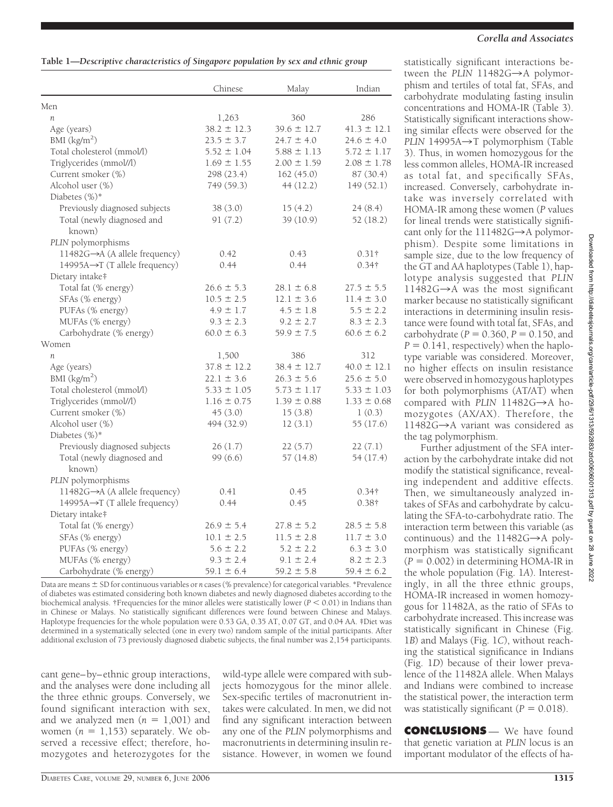|                                      | Chinese         | Malay           | Indian          |
|--------------------------------------|-----------------|-----------------|-----------------|
| Men                                  |                 |                 |                 |
| $\mathfrak n$                        | 1,263           | 360             | 286             |
| Age (years)                          | $38.2 \pm 12.3$ | $39.6 \pm 12.7$ | $41.3 \pm 12.1$ |
| BMI $(kg/m2)$                        | $23.5 \pm 3.7$  | $24.7 \pm 4.0$  | $24.6 \pm 4.0$  |
| Total cholesterol (mmol/l)           | $5.52 \pm 1.04$ | $5.88 \pm 1.13$ | $5.72 \pm 1.17$ |
| Triglycerides (mmol//l)              | $1.69 \pm 1.55$ | $2.00 \pm 1.59$ | $2.08 \pm 1.78$ |
| Current smoker (%)                   | 298 (23.4)      | 162(45.0)       | 87 (30.4)       |
| Alcohol user (%)                     | 749 (59.3)      | 44 (12.2)       | 149(52.1)       |
| Diabetes (%)*                        |                 |                 |                 |
| Previously diagnosed subjects        | 38 (3.0)        | 15(4.2)         | 24(8.4)         |
| Total (newly diagnosed and<br>known) | 91(7.2)         | 39 (10.9)       | 52 (18.2)       |
| PLIN polymorphisms                   |                 |                 |                 |
| 11482G→A (A allele frequency)        | 0.42            | 0.43            | $0.31\dagger$   |
| 14995A→T (T allele frequency)        | 0.44            | 0.44            | $0.34\dagger$   |
| Dietary intake‡                      |                 |                 |                 |
| Total fat (% energy)                 | $26.6 \pm 5.3$  | $28.1 \pm 6.8$  | $27.5 \pm 5.5$  |
| SFAs (% energy)                      | $10.5 \pm 2.5$  | $12.1 \pm 3.6$  | $11.4 \pm 3.0$  |
| PUFAs (% energy)                     | $4.9 \pm 1.7$   | $4.5 \pm 1.8$   | $5.5 \pm 2.2$   |
| MUFAs (% energy)                     | $9.3 \pm 2.3$   | $9.2 \pm 2.7$   | $8.3 \pm 2.3$   |
| Carbohydrate (% energy)              | $60.0 \pm 6.3$  | $59.9 \pm 7.5$  | $60.6 \pm 6.2$  |
| Women                                |                 |                 |                 |
| n                                    | 1,500           | 386             | 312             |
| Age (years)                          | $37.8 \pm 12.2$ | $38.4 \pm 12.7$ | $40.0 \pm 12.1$ |
| BMI (kg/m <sup>2</sup> )             | $22.1 \pm 3.6$  | $26.3 \pm 5.6$  | $25.6 \pm 5.0$  |
| Total cholesterol (mmol/l)           | $5.33 \pm 1.05$ | $5.73 \pm 1.17$ | $5.33 \pm 1.03$ |
| Triglycerides (mmol//l)              | $1.16 \pm 0.75$ | $1.39 \pm 0.88$ | $1.33 \pm 0.68$ |
| Current smoker (%)                   | 45(3.0)         | 15(3.8)         | 1(0.3)          |
| Alcohol user (%)                     | 494 (32.9)      | 12(3.1)         | 55 (17.6)       |
| Diabetes $(\%)^*$                    |                 |                 |                 |
| Previously diagnosed subjects        | 26(1.7)         | 22(5.7)         | 22(7.1)         |
| Total (newly diagnosed and<br>known) | 99(6.6)         | 57(14.8)        | 54 (17.4)       |
| PLIN polymorphisms                   |                 |                 |                 |
| 11482G→A (A allele frequency)        | 0.41            | 0.45            | $0.34\dagger$   |
| 14995A→T (T allele frequency)        | 0.44            | 0.45            | $0.38\dagger$   |
| Dietary intake‡                      |                 |                 |                 |
| Total fat (% energy)                 | $26.9 \pm 5.4$  | $27.8 \pm 5.2$  | $28.5 \pm 5.8$  |
| SFAs (% energy)                      | $10.1 \pm 2.5$  | $11.5 \pm 2.8$  | $11.7 \pm 3.0$  |
| PUFAs (% energy)                     | $5.6 \pm 2.2$   | $5.2 \pm 2.2$   | $6.3 \pm 3.0$   |
| MUFAs (% energy)                     | $9.3 \pm 2.4$   | $9.1 \pm 2.4$   | $8.2 \pm 2.3$   |
| Carbohydrate (% energy)              | $59.1 \pm 6.4$  | $59.2 \pm 5.8$  | $59.4 \pm 6.2$  |

Data are means  $\pm$  SD for continuous variables or *n* cases (% prevalence) for categorical variables. \*Prevalence of diabetes was estimated considering both known diabetes and newly diagnosed diabetes according to the biochemical analysis. †Frequencies for the minor alleles were statistically lower (*P* 0.01) in Indians than in Chinese or Malays. No statistically significant differences were found between Chinese and Malays. Haplotype frequencies for the whole population were 0.53 GA, 0.35 AT, 0.07 GT, and 0.04 AA. ‡Diet was determined in a systematically selected (one in every two) random sample of the initial participants. After additional exclusion of 73 previously diagnosed diabetic subjects, the final number was 2,154 participants.

cant gene–by–ethnic group interactions, and the analyses were done including all the three ethnic groups. Conversely, we found significant interaction with sex, and we analyzed men  $(n = 1,001)$  and women  $(n = 1,153)$  separately. We observed a recessive effect; therefore, homozygotes and heterozygotes for the

wild-type allele were compared with subjects homozygous for the minor allele. Sex-specific tertiles of macronutrient intakes were calculated. In men, we did not find any significant interaction between any one of the *PLIN* polymorphisms and macronutrients in determining insulin resistance. However, in women we found

## *Corella and Associates*

statistically significant interactions between the  $PLIN$  11482G $\rightarrow$ A polymorphism and tertiles of total fat, SFAs, and carbohydrate modulating fasting insulin concentrations and HOMA-IR (Table 3). Statistically significant interactions showing similar effects were observed for the *PLIN* 14995A $\rightarrow$ T polymorphism (Table 3). Thus, in women homozygous for the less common alleles, HOMA-IR increased as total fat, and specifically SFAs, increased. Conversely, carbohydrate intake was inversely correlated with HOMA-IR among these women (*P* values for lineal trends were statistically significant only for the  $111482G \rightarrow A$  polymorphism). Despite some limitations in sample size, due to the low frequency of the GT and AA haplotypes (Table 1), haplotype analysis suggested that *PLIN*  $11482G \rightarrow A$  was the most significant marker because no statistically significant interactions in determining insulin resistance were found with total fat, SFAs, and carbohydrate ( $P = 0.360$ ,  $P = 0.150$ , and  $P = 0.141$ , respectively) when the haplotype variable was considered. Moreover, no higher effects on insulin resistance were observed in homozygous haplotypes for both polymorphisms (AT/AT) when compared with *PLIN* 11482G $\rightarrow$ A homozygotes (AX/AX). Therefore, the 11482G $\rightarrow$ A variant was considered as the tag polymorphism.

Further adjustment of the SFA interaction by the carbohydrate intake did not modify the statistical significance, revealing independent and additive effects. Then, we simultaneously analyzed intakes of SFAs and carbohydrate by calculating the SFA-to-carbohydrate ratio. The interaction term between this variable (as continuous) and the  $11482G \rightarrow A$  polymorphism was statistically significant  $(P = 0.002)$  in determining HOMA-IR in the whole population (Fig. 1*A*). Interestingly, in all the three ethnic groups, HOMA-IR increased in women homozygous for 11482A, as the ratio of SFAs to carbohydrate increased. This increase was statistically significant in Chinese (Fig. 1*B*) and Malays (Fig. 1*C*), without reaching the statistical significance in Indians (Fig. 1*D*) because of their lower prevalence of the 11482A allele. When Malays and Indians were combined to increase the statistical power, the interaction term was statistically significant ( $P = 0.018$ ).

**CONCLUSIONS** — We have found that genetic variation at *PLIN* locus is an important modulator of the effects of ha-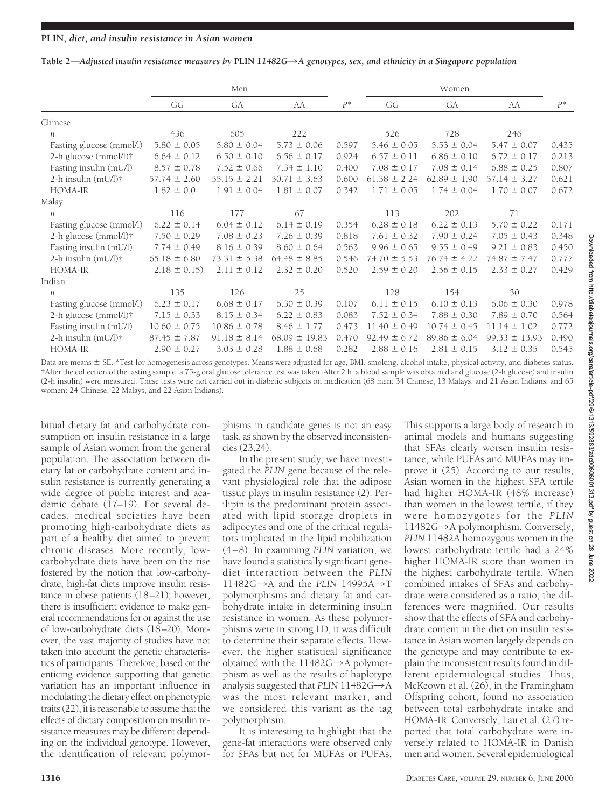#### Table 2—*Adjusted insulin resistance measures by* PLIN 11482*G*→A genotypes, sex, and ethnicity in a Singapore population

|                          |                  | Men<br>Women     |                   |       |                  |                  |                   |       |
|--------------------------|------------------|------------------|-------------------|-------|------------------|------------------|-------------------|-------|
|                          | GG               | GA               | AA                | $P^*$ | GG               | GA               | AA                | $P^*$ |
| Chinese                  |                  |                  |                   |       |                  |                  |                   |       |
| n                        | 436              | 605              | 222               |       | 526              | 728              | 246               |       |
| Fasting glucose (mmol/l) | $5.80 \pm 0.05$  | $5.80 \pm 0.04$  | $5.73 \pm 0.06$   | 0.597 | $5.46 \pm 0.05$  | $5.53 \pm 0.04$  | $5.47 \pm 0.07$   | 0.435 |
| 2-h glucose (mmol/l)†    | $6.64 \pm 0.12$  | $6.50 \pm 0.10$  | $6.56 \pm 0.17$   | 0.924 | $6.57 \pm 0.11$  | $6.86 \pm 0.10$  | $6.72 \pm 0.17$   | 0.213 |
| Fasting insulin (mU/l)   | $8.57 \pm 0.78$  | $7.52 \pm 0.66$  | $7.34 \pm 1.10$   | 0.400 | $7.08 \pm 0.17$  | $7.08 \pm 0.14$  | $6.88 \pm 0.25$   | 0.807 |
| 2-h insulin $(mU/l)$ †   | $57.74 \pm 2.60$ | $55.15 \pm 2.21$ | $50.71 \pm 3.63$  | 0.600 | $61.38 \pm 2.24$ | $62.89 \pm 1.90$ | $57.14 \pm 3.27$  | 0.621 |
| HOMA-IR                  | $1.82 \pm 0.0$   | $1.91 \pm 0.04$  | $1.81 \pm 0.07$   | 0.342 | $1.71 \pm 0.05$  | $1.74 \pm 0.04$  | $1.70 \pm 0.07$   | 0.672 |
| Malay                    |                  |                  |                   |       |                  |                  |                   |       |
| $\boldsymbol{n}$         | 116              | 177              | 67                |       | 113              | 202              | 71                |       |
| Fasting glucose (mmol/l) | $6.22 \pm 0.14$  | $6.04 \pm 0.12$  | $6.14 \pm 0.19$   | 0.354 | $6.28 \pm 0.18$  | $6.22 \pm 0.13$  | $5.70 \pm 0.22$   | 0.171 |
| 2-h glucose $(mmol/l)$ † | $7.50 \pm 0.29$  | $7.08 \pm 0.23$  | $7.26 \pm 0.39$   | 0.818 | $7.61 \pm 0.32$  | $7.90 \pm 0.24$  | $7.05 \pm 0.43$   | 0.348 |
| Fasting insulin (mU/l)   | $7.74 \pm 0.49$  | $8.16 \pm 0.39$  | $8.60 \pm 0.64$   | 0.563 | $9.96 \pm 0.65$  | $9.55 \pm 0.49$  | $9.21 \pm 0.83$   | 0.450 |
| 2-h insulin (mU/l)†      | $65.18 \pm 6.80$ | $73.31 \pm 5.38$ | $64.48 \pm 8.85$  | 0.546 | $74.70 \pm 5.53$ | $76.74 \pm 4.22$ | $74.87 \pm 7.47$  | 0.777 |
| HOMA-IR                  | $2.18 \pm 0.15$  | $2.11 \pm 0.12$  | $2.32 \pm 0.20$   | 0.520 | $2.59 \pm 0.20$  | $2.56 \pm 0.15$  | $2.33 \pm 0.27$   | 0.429 |
| Indian                   |                  |                  |                   |       |                  |                  |                   |       |
| $\boldsymbol{n}$         | 135              | 126              | 25                |       | 128              | 154              | 30                |       |
| Fasting glucose (mmol/l) | $6.23 \pm 0.17$  | $6.68 \pm 0.17$  | $6.30 \pm 0.39$   | 0.107 | $6.11 \pm 0.15$  | $6.10 \pm 0.13$  | $6.06 \pm 0.30$   | 0.978 |
| 2-h glucose (mmol/l)†    | $7.15 \pm 0.33$  | $8.15 \pm 0.34$  | $6.22 \pm 0.83$   | 0.083 | $7.52 \pm 0.34$  | $7.88 \pm 0.30$  | $7.89 \pm 0.70$   | 0.564 |
| Fasting insulin (mU/l)   | $10.60 \pm 0.75$ | $10.86 \pm 0.78$ | $8.46 \pm 1.77$   | 0.473 | $11.40 \pm 0.49$ | $10.74 \pm 0.45$ | $11.14 \pm 1.02$  | 0.772 |
| 2-h insulin $(mU/l)$ †   | $87.45 \pm 7.87$ | $91.18 \pm 8.14$ | $68.09 \pm 19.83$ | 0.470 | $92.49 \pm 6.72$ | $89.86 \pm 6.04$ | $99.33 \pm 13.93$ | 0.490 |
| HOMA-IR                  | $2.90 \pm 0.27$  | $3.03 \pm 0.28$  | $1.88 \pm 0.68$   | 0.282 | $2.88 \pm 0.16$  | $2.81 \pm 0.15$  | $3.12 \pm 0.35$   | 0.545 |

Data are means  $\pm$  SE. \*Test for homogenesis across genotypes. Means were adjusted for age, BMI, smoking, alcohol intake, physical activity, and diabetes status. †After the collection of the fasting sample, a 75-g oral glucose tolerance test was taken. After 2 h, a blood sample was obtained and glucose (2-h glucose) and insulin (2-h insulin) were measured. These tests were not carried out in diabetic subjects on medication (68 men: 34 Chinese, 13 Malays, and 21 Asian Indians; and 65 women: 24 Chinese, 22 Malays, and 22 Asian Indians).

bitual dietary fat and carbohydrate consumption on insulin resistance in a large sample of Asian women from the general population. The association between dietary fat or carbohydrate content and insulin resistance is currently generating a wide degree of public interest and academic debate (17–19). For several decades, medical societies have been promoting high-carbohydrate diets as part of a healthy diet aimed to prevent chronic diseases. More recently, lowcarbohydrate diets have been on the rise fostered by the notion that low-carbohydrate, high-fat diets improve insulin resistance in obese patients (18–21); however, there is insufficient evidence to make general recommendations for or against the use of low-carbohydrate diets (18–20). Moreover, the vast majority of studies have not taken into account the genetic characteristics of participants. Therefore, based on the enticing evidence supporting that genetic variation has an important influence in modulating the dietary effect on phenotypic traits (22), it is reasonable to assume that the effects of dietary composition on insulin resistance measures may be different depending on the individual genotype. However, the identification of relevant polymor-

phisms in candidate genes is not an easy task, as shown by the observed inconsistencies (23,24).

In the present study, we have investigated the *PLIN* gene because of the relevant physiological role that the adipose tissue plays in insulin resistance (2). Perilipin is the predominant protein associated with lipid storage droplets in adipocytes and one of the critical regulators implicated in the lipid mobilization (4–8). In examining *PLIN* variation, we have found a statistically significant genediet interaction between the *PLIN*  $11482G \rightarrow A$  and the *PLIN* 14995A $\rightarrow$ T polymorphisms and dietary fat and carbohydrate intake in determining insulin resistance in women. As these polymorphisms were in strong LD, it was difficult to determine their separate effects. However, the higher statistical significance obtained with the  $11482G \rightarrow A$  polymorphism as well as the results of haplotype analysis suggested that  $PLIN$   $11482G \rightarrow A$ was the most relevant marker, and we considered this variant as the tag polymorphism.

It is interesting to highlight that the gene-fat interactions were observed only for SFAs but not for MUFAs or PUFAs.

This supports a large body of research in animal models and humans suggesting that SFAs clearly worsen insulin resistance, while PUFAs and MUFAs may improve it (25). According to our results, Asian women in the highest SFA tertile had higher HOMA-IR (48% increase) than women in the lowest tertile, if they were homozygotes for the *PLIN* 11482G→A polymorphism. Conversely, *PLIN* 11482A homozygous women in the lowest carbohydrate tertile had a 24% higher HOMA-IR score than women in the highest carbohydrate tertile. When combined intakes of SFAs and carbohydrate were considered as a ratio, the differences were magnified. Our results show that the effects of SFA and carbohydrate content in the diet on insulin resistance in Asian women largely depends on the genotype and may contribute to explain the inconsistent results found in different epidemiological studies. Thus, McKeown et al. (26), in the Framingham Offspring cohort, found no association between total carbohydrate intake and HOMA-IR. Conversely, Lau et al. (27) reported that total carbohydrate were inversely related to HOMA-IR in Danish men and women. Several epidemiological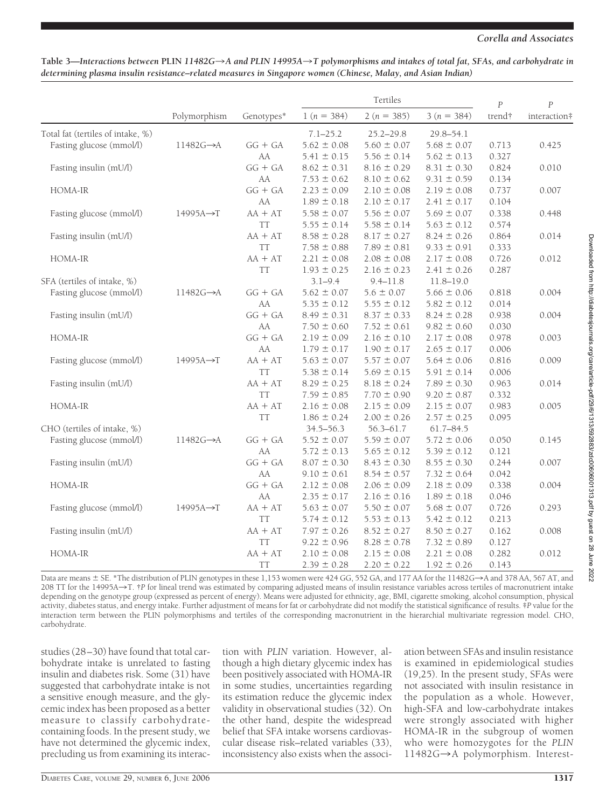#### *Corella and Associates*

|                                   |                        |            | Tertiles        |                 |                 | $\overline{P}$ | $\overline{P}$ |
|-----------------------------------|------------------------|------------|-----------------|-----------------|-----------------|----------------|----------------|
|                                   | Polymorphism           | Genotypes* | $1(n = 384)$    | $2(n = 385)$    | $3(n = 384)$    | trend†         | interaction#   |
| Total fat (tertiles of intake, %) |                        |            | $7.1 - 25.2$    | $25.2 - 29.8$   | $29.8 - 54.1$   |                |                |
| Fasting glucose (mmol/l)          | $11482G \rightarrow A$ | $GG + GA$  | $5.62 \pm 0.08$ | $5.60 \pm 0.07$ | $5.68 \pm 0.07$ | 0.713          | 0.425          |
|                                   |                        | AA         | $5.41 \pm 0.15$ | $5.56 \pm 0.14$ | $5.62 \pm 0.13$ | 0.327          |                |
| Fasting insulin (mU/l)            |                        | $GG + GA$  | $8.62 \pm 0.31$ | $8.16 \pm 0.29$ | $8.31 \pm 0.30$ | 0.824          | 0.010          |
|                                   |                        | AA         | $7.53 \pm 0.62$ | $8.10 \pm 0.62$ | $9.31 \pm 0.59$ | 0.134          |                |
| HOMA-IR                           |                        | $GG + GA$  | $2.23 \pm 0.09$ | $2.10 \pm 0.08$ | $2.19 \pm 0.08$ | 0.737          | 0.007          |
|                                   |                        | AA         | $1.89 \pm 0.18$ | $2.10 \pm 0.17$ | $2.41 \pm 0.17$ | 0.104          |                |
| Fasting glucose (mmol/l)          | 14995A→T               | $AA + AT$  | $5.58 \pm 0.07$ | $5.56 \pm 0.07$ | $5.69 \pm 0.07$ | 0.338          | 0.448          |
|                                   |                        | <b>TT</b>  | $5.55 \pm 0.14$ | $5.58 \pm 0.14$ | $5.63 \pm 0.12$ | 0.574          |                |
| Fasting insulin (mU/l)            |                        | $AA + AT$  | $8.58 \pm 0.28$ | $8.17 \pm 0.27$ | $8.24 \pm 0.26$ | 0.864          | 0.014          |
|                                   |                        | <b>TT</b>  | $7.58 \pm 0.88$ | $7.89 \pm 0.81$ | $9.33 \pm 0.91$ | 0.333          |                |
| HOMA-IR                           |                        | $AA + AT$  | $2.21 \pm 0.08$ | $2.08 \pm 0.08$ | $2.17 \pm 0.08$ | 0.726          | 0.012          |
|                                   |                        | <b>TT</b>  | $1.93 \pm 0.25$ | $2.16 \pm 0.23$ | $2.41 \pm 0.26$ | 0.287          |                |
| SFA (tertiles of intake, %)       |                        |            | $3.1 - 9.4$     | $9.4 - 11.8$    | $11.8 - 19.0$   |                |                |
| Fasting glucose (mmol/l)          | $11482G \rightarrow A$ | $GG + GA$  | $5.62 \pm 0.07$ | $5.6 \pm 0.07$  | $5.66 \pm 0.06$ | 0.818          | 0.004          |
|                                   |                        | AA         | $5.35 \pm 0.12$ | $5.55 \pm 0.12$ | $5.82 \pm 0.12$ | 0.014          |                |
| Fasting insulin (mU/l)            |                        | $GG + GA$  | $8.49 \pm 0.31$ | $8.37 \pm 0.33$ | $8.24 \pm 0.28$ | 0.938          | 0.004          |
|                                   |                        | AA         | $7.50 \pm 0.60$ | $7.52 \pm 0.61$ | $9.82 \pm 0.60$ | 0.030          |                |
| HOMA-IR                           |                        | $GG + GA$  | $2.19 \pm 0.09$ | $2.16 \pm 0.10$ | $2.17 \pm 0.08$ | 0.978          | 0.003          |
|                                   |                        | AA         | $1.79 \pm 0.17$ | $1.90 \pm 0.17$ | $2.65 \pm 0.17$ | 0.006          |                |
| Fasting glucose (mmol/l)          | 14995A→T               | $AA + AT$  | $5.63 \pm 0.07$ | $5.57 \pm 0.07$ | $5.64 \pm 0.06$ | 0.816          | 0.009          |
|                                   |                        | <b>TT</b>  | $5.38 \pm 0.14$ | $5.69 \pm 0.15$ | $5.91 \pm 0.14$ | 0.006          |                |
| Fasting insulin (mU/l)            |                        | $AA + AT$  | $8.29 \pm 0.25$ | $8.18 \pm 0.24$ | $7.89 \pm 0.30$ | 0.963          | 0.014          |
|                                   |                        | <b>TT</b>  | $7.59 \pm 0.85$ | $7.70 \pm 0.90$ | $9.20 \pm 0.87$ | 0.332          |                |
| HOMA-IR                           |                        | $AA + AT$  | $2.16 \pm 0.08$ | $2.15 \pm 0.09$ | $2.15 \pm 0.07$ | 0.983          | 0.005          |
|                                   |                        | <b>TT</b>  | $1.86 \pm 0.24$ | $2.00 \pm 0.26$ | $2.57 \pm 0.25$ | 0.095          |                |
| CHO (tertiles of intake, %)       |                        |            | $34.5 - 56.3$   | $56.3 - 61.7$   | 61.7-84.5       |                |                |
| Fasting glucose (mmol/l)          | $11482G \rightarrow A$ | $GG + GA$  | $5.52 \pm 0.07$ | $5.59 \pm 0.07$ | $5.72 \pm 0.06$ | 0.050          | 0.145          |
|                                   |                        | AA         | $5.72 \pm 0.13$ | $5.65 \pm 0.12$ | $5.39 \pm 0.12$ | 0.121          |                |
| Fasting insulin (mU/l)            |                        | $GG + GA$  | $8.07 \pm 0.30$ | $8.43 \pm 0.30$ | $8.55 \pm 0.30$ | 0.244          | 0.007          |
|                                   |                        | AA         | $9.10 \pm 0.61$ | $8.54 \pm 0.57$ | $7.32 \pm 0.64$ | 0.042          |                |
| HOMA-IR                           |                        | $GG + GA$  | $2.12 \pm 0.08$ | $2.06 \pm 0.09$ | $2.18 \pm 0.09$ | 0.338          | 0.004          |
|                                   |                        | AA         | $2.35 \pm 0.17$ | $2.16 \pm 0.16$ | $1.89 \pm 0.18$ | 0.046          |                |
| Fasting glucose (mmol/l)          | 14995A→T               | $AA + AT$  | $5.63 \pm 0.07$ | $5.50 \pm 0.07$ | $5.68 \pm 0.07$ | 0.726          | 0.293          |
|                                   |                        | <b>TT</b>  | $5.74 \pm 0.12$ | $5.53 \pm 0.13$ | $5.42 \pm 0.12$ | 0.213          |                |
| Fasting insulin (mU/l)            |                        | $AA + AT$  | $7.97 \pm 0.26$ | $8.52 \pm 0.27$ | $8.50 \pm 0.27$ | 0.162          | 0.008          |
|                                   |                        | <b>TT</b>  | $9.22 \pm 0.96$ | $8.28 \pm 0.78$ | $7.32 \pm 0.89$ | 0.127          |                |
| HOMA-IR                           |                        | $AA + AT$  | $2.10 \pm 0.08$ | $2.15 \pm 0.08$ | $2.21 \pm 0.08$ | 0.282          | 0.012          |
|                                   |                        | TT         | $2.39 \pm 0.28$ | $2.20 \pm 0.22$ | $1.92 \pm 0.26$ | 0.143          |                |

**Table 3—***Interactions between* **PLIN** *11482G*3*A and PLIN 14995A*3*T polymorphisms and intakes of total fat, SFAs, and carbohydrate in determining plasma insulin resistance–related measures in Singapore women (Chinese, Malay, and Asian Indian)*

Data are means  $\pm$  SE. \*The distribution of PLIN genotypes in these 1,153 women were 424 GG, 552 GA, and 177 AA for the 11482G $\rightarrow$ A and 378 AA, 567 AT, and 208 TT for the 14995A→T. †*P* for lineal trend was estimated by comparing adjusted means of insulin resistance variables across tertiles of macronutrient intake depending on the genotype group (expressed as percent of energy). Means were adjusted for ethnicity, age, BMI, cigarette smoking, alcohol consumption, physical activity, diabetes status, and energy intake. Further adjustment of means for fat or carbohydrate did not modify the statistical significance of results. ‡*P* value for the interaction term between the PLIN polymorphisms and tertiles of the corresponding macronutrient in the hierarchial multivariate regression model. CHO, carbohydrate.

studies (28–30) have found that total carbohydrate intake is unrelated to fasting insulin and diabetes risk. Some (31) have suggested that carbohydrate intake is not a sensitive enough measure, and the glycemic index has been proposed as a better measure to classify carbohydratecontaining foods. In the present study, we have not determined the glycemic index, precluding us from examining its interac-

tion with *PLIN* variation. However, although a high dietary glycemic index has been positively associated with HOMA-IR in some studies, uncertainties regarding its estimation reduce the glycemic index validity in observational studies (32). On the other hand, despite the widespread belief that SFA intake worsens cardiovascular disease risk–related variables (33), inconsistency also exists when the associ-

ation between SFAs and insulin resistance is examined in epidemiological studies (19,25). In the present study, SFAs were not associated with insulin resistance in the population as a whole. However, high-SFA and low-carbohydrate intakes were strongly associated with higher HOMA-IR in the subgroup of women who were homozygotes for the *PLIN* 11482G→A polymorphism. Interest-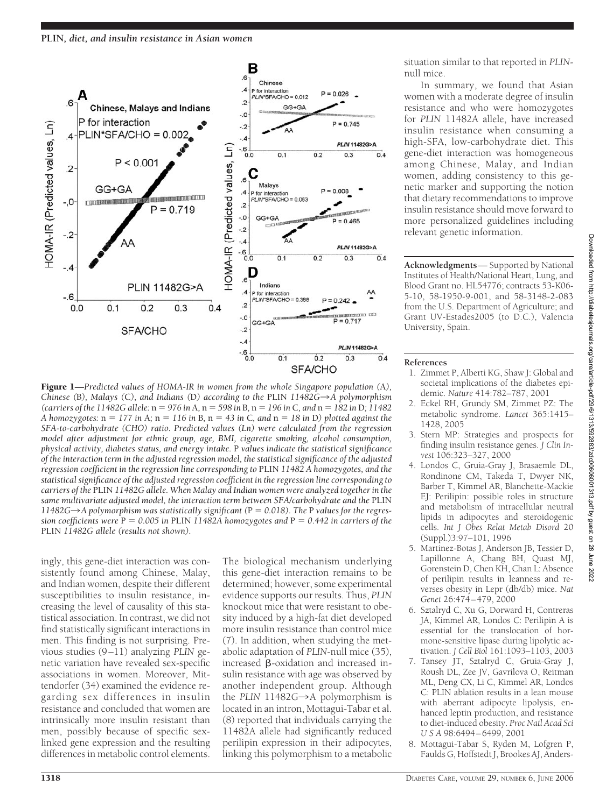

Figure 1—*Predicted values of HOMA-IR in women from the whole Singapore population (*A*), Chinese (*B*), Malays (*C*), and Indians (*D*) according to the* PLIN *11482G*3*A polymorphism (carriers of the 11482G allele:*  $n = 976$  in A,  $n = 598$  in B,  $n = 196$  in C, and  $n = 182$  in D; 11482 *A homozygotes:* n *177 in* A*;* n *116 in* B*,* n *43 in* C*, and* n *18 in* D*) plotted against the SFA-to-carbohydrate (CHO) ratio. Predicted values (Ln) were calculated from the regression model after adjustment for ethnic group, age, BMI, cigarette smoking, alcohol consumption, physical activity, diabetes status, and energy intake.* P *values indicate the statistical significance of the interaction term in the adjusted regression model, the statistical significance of the adjusted regression coefficient in the regression line corresponding to* PLIN *11482 A homozygotes, and the statistical significance of the adjusted regression coefficient in the regression line corresponding to carriers of the* PLIN *11482G allele. When Malay and Indian women were analyzed together in the* same multivariate adjusted model, the interaction term between SFA/carbohydrate and the PLIN 11482G $\rightarrow$ A polymorphism was statistically significant ( $P = 0.018$ ). The P values for the regres*sion coefficients were* P *0.005 in* PLIN *11482A homozygotes and* P *0.442 in carriers of the* PLIN *11482G allele (results not shown).*

ingly, this gene-diet interaction was consistently found among Chinese, Malay, and Indian women, despite their different susceptibilities to insulin resistance, increasing the level of causality of this statistical association. In contrast, we did not find statistically significant interactions in men. This finding is not surprising. Previous studies (9–11) analyzing *PLIN* genetic variation have revealed sex-specific associations in women. Moreover, Mittendorfer (34) examined the evidence regarding sex differences in insulin resistance and concluded that women are intrinsically more insulin resistant than men, possibly because of specific sexlinked gene expression and the resulting differences in metabolic control elements.

The biological mechanism underlying this gene-diet interaction remains to be determined; however, some experimental evidence supports our results. Thus, *PLIN* knockout mice that were resistant to obesity induced by a high-fat diet developed more insulin resistance than control mice (7). In addition, when studying the metabolic adaptation of *PLIN*-null mice (35), increased  $\beta$ -oxidation and increased insulin resistance with age was observed by another independent group. Although the *PLIN*  $11482G \rightarrow A$  polymorphism is located in an intron, Mottagui-Tabar et al. (8) reported that individuals carrying the 11482A allele had significantly reduced perilipin expression in their adipocytes, linking this polymorphism to a metabolic situation similar to that reported in *PLIN*null mice.

In summary, we found that Asian women with a moderate degree of insulin resistance and who were homozygotes for *PLIN* 11482A allele, have increased insulin resistance when consuming a high-SFA, low-carbohydrate diet. This gene-diet interaction was homogeneous among Chinese, Malay, and Indian women, adding consistency to this genetic marker and supporting the notion that dietary recommendations to improve insulin resistance should move forward to more personalized guidelines including relevant genetic information.

**Acknowledgments**— Supported by National Institutes of Health/National Heart, Lung, and Blood Grant no. HL54776; contracts 53-K06- 5-10, 58-1950-9-001, and 58-3148-2-083 from the U.S. Department of Agriculture; and Grant UV-Estades2005 (to D.C.), Valencia University, Spain.

## **References**

- 1. Zimmet P, Alberti KG, Shaw J: Global and societal implications of the diabetes epidemic. *Nature* 414:782–787, 2001
- 2. Eckel RH, Grundy SM, Zimmet PZ: The metabolic syndrome. *Lancet* 365:1415– 1428, 2005
- 3. Stern MP: Strategies and prospects for finding insulin resistance genes. *J Clin Invest* 106:323–327, 2000
- 4. Londos C, Gruia-Gray J, Brasaemle DL, Rondinone CM, Takeda T, Dwyer NK, Barber T, Kimmel AR, Blanchette-Mackie EJ: Perilipin: possible roles in structure and metabolism of intracellular neutral lipids in adipocytes and steroidogenic cells. *Int J Obes Relat Metab Disord* 20 (Suppl.)3:97–101, 1996
- 5. Martinez-Botas J, Anderson JB, Tessier D, Lapillonne A, Chang BH, Quast MJ, Gorenstein D, Chen KH, Chan L: Absence of perilipin results in leanness and reverses obesity in Lepr (db/db) mice. *Nat Genet* 26:474–479, 2000
- 6. Sztalryd C, Xu G, Dorward H, Contreras JA, Kimmel AR, Londos C: Perilipin A is essential for the translocation of hormone-sensitive lipase during lipolytic activation. *J Cell Biol* 161:1093–1103, 2003
- 7. Tansey JT, Sztalryd C, Gruia-Gray J, Roush DL, Zee JV, Gavrilova O, Reitman ML, Deng CX, Li C, Kimmel AR, Londos C: PLIN ablation results in a lean mouse with aberrant adipocyte lipolysis, enhanced leptin production, and resistance to diet-induced obesity. *Proc Natl Acad Sci USA* 98:6494–6499, 2001
- 8. Mottagui-Tabar S, Ryden M, Lofgren P, Faulds G, Hoffstedt J, Brookes AJ, Anders-